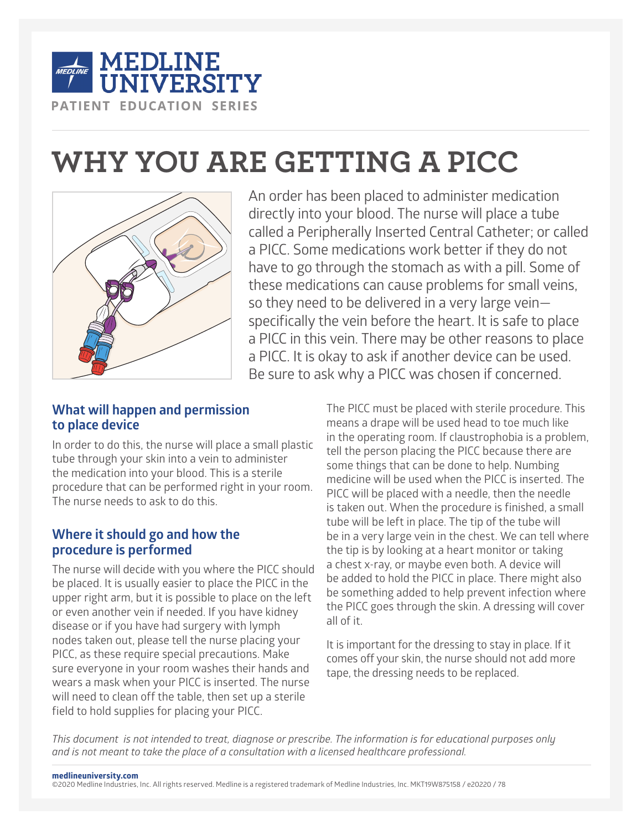

# **WHY YOU ARE GETTING A PICC**



An order has been placed to administer medication directly into your blood. The nurse will place a tube called a Peripherally Inserted Central Catheter; or called a PICC. Some medications work better if they do not have to go through the stomach as with a pill. Some of these medications can cause problems for small veins, so they need to be delivered in a very large vein specifically the vein before the heart. It is safe to place a PICC in this vein. There may be other reasons to place a PICC. It is okay to ask if another device can be used. Be sure to ask why a PICC was chosen if concerned.

## **What will happen and permission to place device**

In order to do this, the nurse will place a small plastic tube through your skin into a vein to administer the medication into your blood. This is a sterile procedure that can be performed right in your room. The nurse needs to ask to do this.

## **Where it should go and how the procedure is performed**

The nurse will decide with you where the PICC should be placed. It is usually easier to place the PICC in the upper right arm, but it is possible to place on the left or even another vein if needed. If you have kidney disease or if you have had surgery with lymph nodes taken out, please tell the nurse placing your PICC, as these require special precautions. Make sure everyone in your room washes their hands and wears a mask when your PICC is inserted. The nurse will need to clean off the table, then set up a sterile field to hold supplies for placing your PICC.

The PICC must be placed with sterile procedure. This means a drape will be used head to toe much like in the operating room. If claustrophobia is a problem, tell the person placing the PICC because there are some things that can be done to help. Numbing medicine will be used when the PICC is inserted. The PICC will be placed with a needle, then the needle is taken out. When the procedure is finished, a small tube will be left in place. The tip of the tube will be in a very large vein in the chest. We can tell where the tip is by looking at a heart monitor or taking a chest x-ray, or maybe even both. A device will be added to hold the PICC in place. There might also be something added to help prevent infection where the PICC goes through the skin. A dressing will cover all of it.

It is important for the dressing to stay in place. If it comes off your skin, the nurse should not add more tape, the dressing needs to be replaced.

*This document is not intended to treat, diagnose or prescribe. The information is for educational purposes only and is not meant to take the place of a consultation with a licensed healthcare professional.*